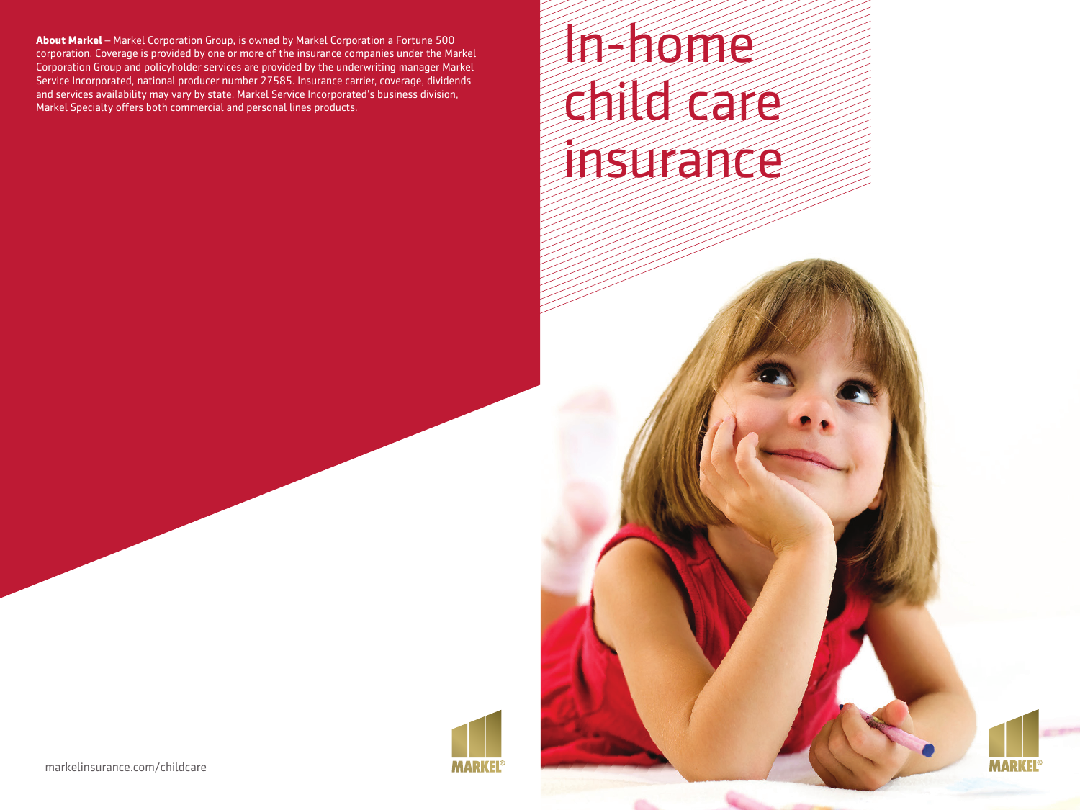**About Markel** – Markel Corporation Group, is owned by Markel Corporation a Fortune 500 corporation. Coverage is provided by one or more of the insurance companies under the Markel Corporation Group and policyholder services are provided by the underwriting manager Markel Service Incorporated, national producer number 27585. Insurance carrier, coverage, dividends and services availability may vary by state. Markel Service Incorporated's business division, Markel Specialty offers both commercial and personal lines products.

# In-home child care insurance

**MARKE** 



markelinsurance.com/childcare